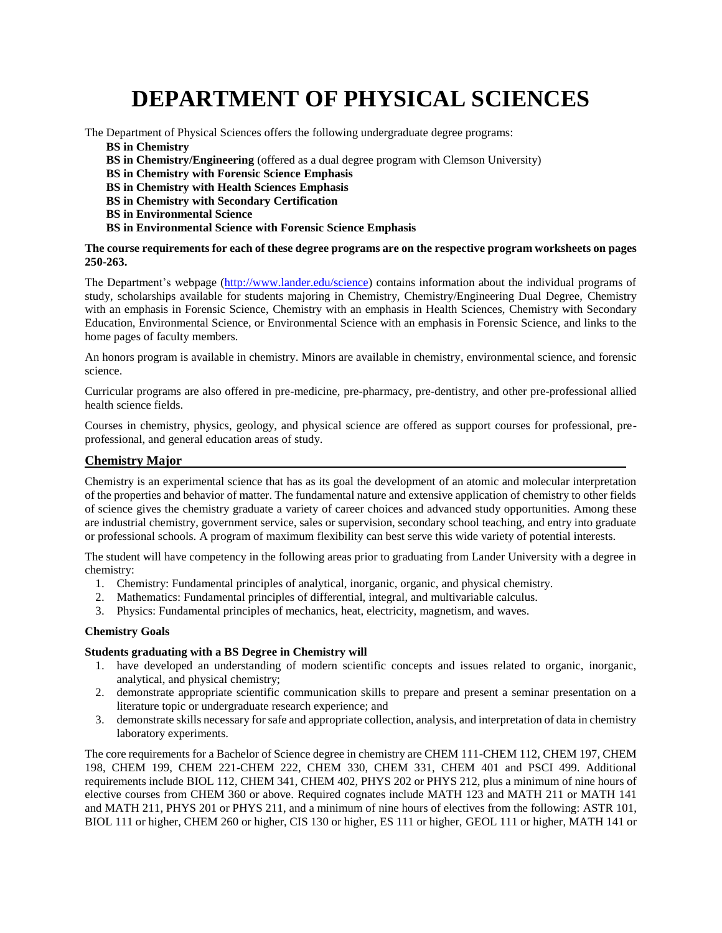# **DEPARTMENT OF PHYSICAL SCIENCES**

The Department of Physical Sciences offers the following undergraduate degree programs:

**BS in Chemistry**

**BS in Chemistry/Engineering** (offered as a dual degree program with Clemson University)

**BS in Chemistry with Forensic Science Emphasis**

**BS in Chemistry with Health Sciences Emphasis**

**BS in Chemistry with Secondary Certification** 

**BS in Environmental Science**

**BS in Environmental Science with Forensic Science Emphasis**

#### **The course requirements for each of these degree programs are on the respective program worksheets on pages 250-263.**

The Department's webpage [\(http://www.lander.edu/science\)](http://www.lander.edu/science) contains information about the individual programs of study, scholarships available for students majoring in Chemistry, Chemistry/Engineering Dual Degree, Chemistry with an emphasis in Forensic Science, Chemistry with an emphasis in Health Sciences, Chemistry with Secondary Education, Environmental Science, or Environmental Science with an emphasis in Forensic Science, and links to the home pages of faculty members.

An honors program is available in chemistry. Minors are available in chemistry, environmental science, and forensic science.

Curricular programs are also offered in pre-medicine, pre-pharmacy, pre-dentistry, and other pre-professional allied health science fields.

Courses in chemistry, physics, geology, and physical science are offered as support courses for professional, preprofessional, and general education areas of study.

### **Chemistry Major**

Chemistry is an experimental science that has as its goal the development of an atomic and molecular interpretation of the properties and behavior of matter. The fundamental nature and extensive application of chemistry to other fields of science gives the chemistry graduate a variety of career choices and advanced study opportunities. Among these are industrial chemistry, government service, sales or supervision, secondary school teaching, and entry into graduate or professional schools. A program of maximum flexibility can best serve this wide variety of potential interests.

The student will have competency in the following areas prior to graduating from Lander University with a degree in chemistry:

- 1. Chemistry: Fundamental principles of analytical, inorganic, organic, and physical chemistry.
- 2. Mathematics: Fundamental principles of differential, integral, and multivariable calculus.
- 3. Physics: Fundamental principles of mechanics, heat, electricity, magnetism, and waves.

#### **Chemistry Goals**

#### **Students graduating with a BS Degree in Chemistry will**

- 1. have developed an understanding of modern scientific concepts and issues related to organic, inorganic, analytical, and physical chemistry;
- 2. demonstrate appropriate scientific communication skills to prepare and present a seminar presentation on a literature topic or undergraduate research experience; and
- 3. demonstrate skills necessary for safe and appropriate collection, analysis, and interpretation of data in chemistry laboratory experiments.

The core requirements for a Bachelor of Science degree in chemistry are CHEM 111-CHEM 112, CHEM 197, CHEM 198, CHEM 199, CHEM 221-CHEM 222, CHEM 330, CHEM 331, CHEM 401 and PSCI 499. Additional requirements include BIOL 112, CHEM 341, CHEM 402, PHYS 202 or PHYS 212, plus a minimum of nine hours of elective courses from CHEM 360 or above. Required cognates include MATH 123 and MATH 211 or MATH 141 and MATH 211, PHYS 201 or PHYS 211, and a minimum of nine hours of electives from the following: ASTR 101, BIOL 111 or higher, CHEM 260 or higher, CIS 130 or higher, ES 111 or higher, GEOL 111 or higher, MATH 141 or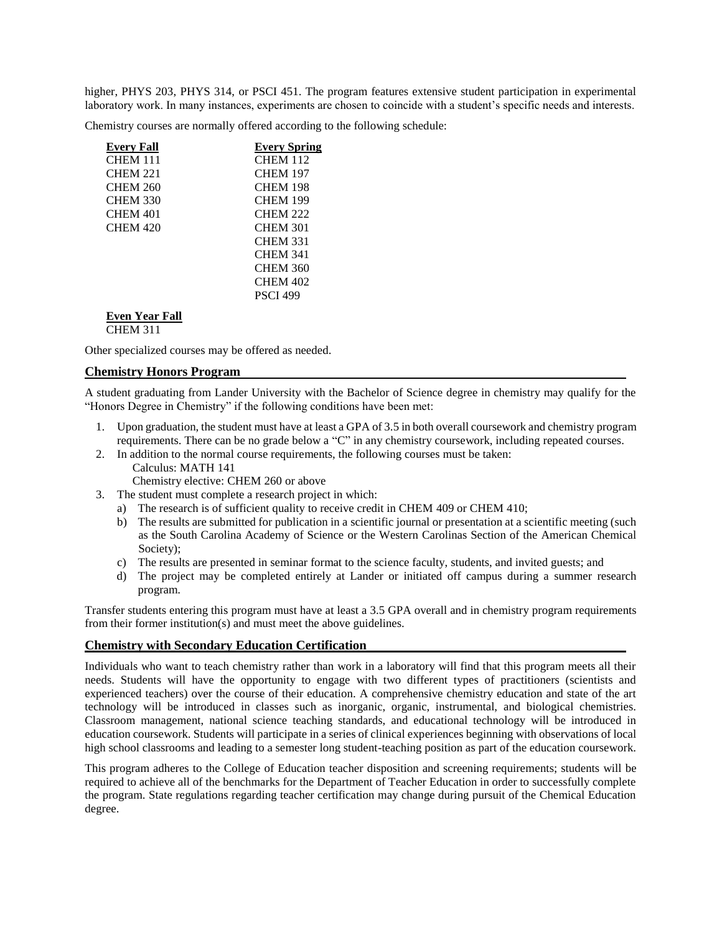higher, PHYS 203, PHYS 314, or PSCI 451. The program features extensive student participation in experimental laboratory work. In many instances, experiments are chosen to coincide with a student's specific needs and interests.

Chemistry courses are normally offered according to the following schedule:

| <b>Every Fall</b> | <b>Every Spring</b> |
|-------------------|---------------------|
| <b>CHEM 111</b>   | <b>CHEM 112</b>     |
| <b>CHEM 221</b>   | <b>CHEM 197</b>     |
| <b>CHEM 260</b>   | <b>CHEM 198</b>     |
| <b>CHEM 330</b>   | <b>CHEM 199</b>     |
| <b>CHEM 401</b>   | <b>CHEM 222</b>     |
| <b>CHEM 420</b>   | <b>CHEM 301</b>     |
|                   | <b>CHEM 331</b>     |
|                   | <b>CHEM 341</b>     |
|                   | <b>CHEM 360</b>     |
|                   | <b>CHEM 402</b>     |
|                   | <b>PSCI 499</b>     |
| Even Year Fall    |                     |

CHEM 311

Other specialized courses may be offered as needed.

#### **Chemistry Honors Program**

A student graduating from Lander University with the Bachelor of Science degree in chemistry may qualify for the "Honors Degree in Chemistry" if the following conditions have been met:

- 1. Upon graduation, the student must have at least a GPA of 3.5 in both overall coursework and chemistry program requirements. There can be no grade below a "C" in any chemistry coursework, including repeated courses.
- 2. In addition to the normal course requirements, the following courses must be taken:
	- Calculus: MATH 141
	- Chemistry elective: CHEM 260 or above
- 3. The student must complete a research project in which:
	- a) The research is of sufficient quality to receive credit in CHEM 409 or CHEM 410;
	- b) The results are submitted for publication in a scientific journal or presentation at a scientific meeting (such as the South Carolina Academy of Science or the Western Carolinas Section of the American Chemical Society);
	- c) The results are presented in seminar format to the science faculty, students, and invited guests; and
	- d) The project may be completed entirely at Lander or initiated off campus during a summer research program.

Transfer students entering this program must have at least a 3.5 GPA overall and in chemistry program requirements from their former institution(s) and must meet the above guidelines.

#### **Chemistry with Secondary Education Certification**

Individuals who want to teach chemistry rather than work in a laboratory will find that this program meets all their needs. Students will have the opportunity to engage with two different types of practitioners (scientists and experienced teachers) over the course of their education. A comprehensive chemistry education and state of the art technology will be introduced in classes such as inorganic, organic, instrumental, and biological chemistries. Classroom management, national science teaching standards, and educational technology will be introduced in education coursework. Students will participate in a series of clinical experiences beginning with observations of local high school classrooms and leading to a semester long student-teaching position as part of the education coursework.

This program adheres to the College of Education teacher disposition and screening requirements; students will be required to achieve all of the benchmarks for the Department of Teacher Education in order to successfully complete the program. State regulations regarding teacher certification may change during pursuit of the Chemical Education degree.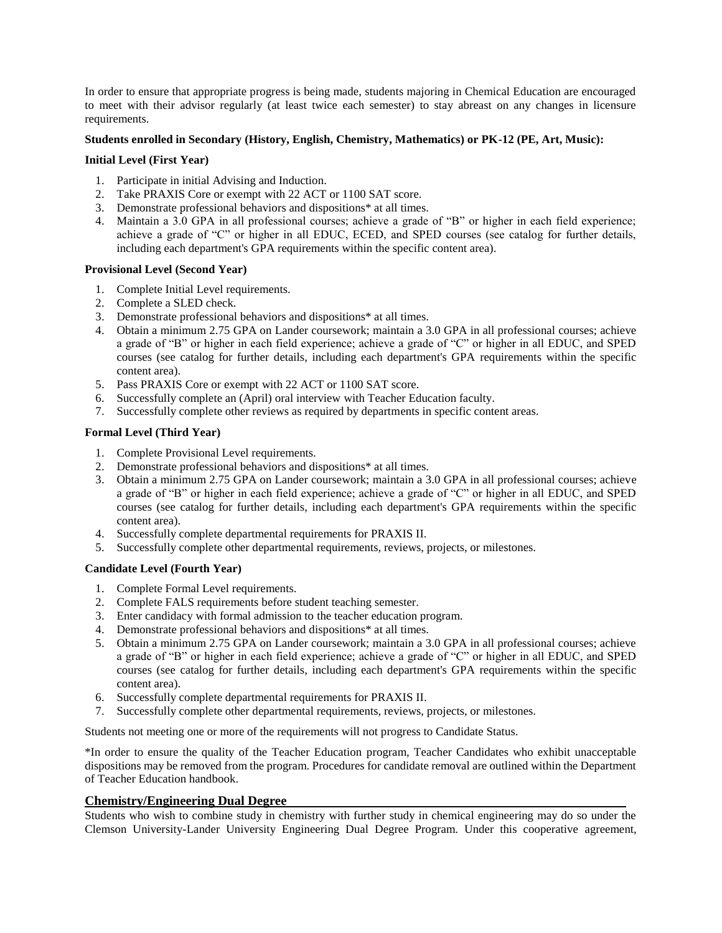In order to ensure that appropriate progress is being made, students majoring in Chemical Education are encouraged to meet with their advisor regularly (at least twice each semester) to stay abreast on any changes in licensure requirements.

#### **Students enrolled in Secondary (History, English, Chemistry, Mathematics) or PK-12 (PE, Art, Music):**

#### **Initial Level (First Year)**

- 1. Participate in initial Advising and Induction.
- 2. Take PRAXIS Core or exempt with 22 ACT or 1100 SAT score.
- 3. Demonstrate professional behaviors and dispositions\* at all times.
- 4. Maintain a 3.0 GPA in all professional courses; achieve a grade of "B" or higher in each field experience; achieve a grade of "C" or higher in all EDUC, ECED, and SPED courses (see catalog for further details, including each department's GPA requirements within the specific content area).

#### **Provisional Level (Second Year)**

- 1. Complete Initial Level requirements.
- 2. Complete a SLED check.
- 3. Demonstrate professional behaviors and dispositions\* at all times.
- 4. Obtain a minimum 2.75 GPA on Lander coursework; maintain a 3.0 GPA in all professional courses; achieve a grade of "B" or higher in each field experience; achieve a grade of "C" or higher in all EDUC, and SPED courses (see catalog for further details, including each department's GPA requirements within the specific content area).
- 5. Pass PRAXIS Core or exempt with 22 ACT or 1100 SAT score.
- Successfully complete an (April) oral interview with Teacher Education faculty.
- 7. Successfully complete other reviews as required by departments in specific content areas.

#### **Formal Level (Third Year)**

- 1. Complete Provisional Level requirements.
- 2. Demonstrate professional behaviors and dispositions\* at all times.
- 3. Obtain a minimum 2.75 GPA on Lander coursework; maintain a 3.0 GPA in all professional courses; achieve a grade of "B" or higher in each field experience; achieve a grade of "C" or higher in all EDUC, and SPED courses (see catalog for further details, including each department's GPA requirements within the specific content area).
- 4. Successfully complete departmental requirements for PRAXIS II.
- 5. Successfully complete other departmental requirements, reviews, projects, or milestones.

### **Candidate Level (Fourth Year)**

- 1. Complete Formal Level requirements.
- 2. Complete FALS requirements before student teaching semester.
- 3. Enter candidacy with formal admission to the teacher education program.
- 4. Demonstrate professional behaviors and dispositions\* at all times.
- 5. Obtain a minimum 2.75 GPA on Lander coursework; maintain a 3.0 GPA in all professional courses; achieve a grade of "B" or higher in each field experience; achieve a grade of "C" or higher in all EDUC, and SPED courses (see catalog for further details, including each department's GPA requirements within the specific content area).
- 6. Successfully complete departmental requirements for PRAXIS II.
- 7. Successfully complete other departmental requirements, reviews, projects, or milestones.

Students not meeting one or more of the requirements will not progress to Candidate Status.

\*In order to ensure the quality of the Teacher Education program, Teacher Candidates who exhibit unacceptable dispositions may be removed from the program. Procedures for candidate removal are outlined within the Department of Teacher Education handbook.

### **Chemistry/Engineering Dual Degree**

Students who wish to combine study in chemistry with further study in chemical engineering may do so under the Clemson University-Lander University Engineering Dual Degree Program. Under this cooperative agreement,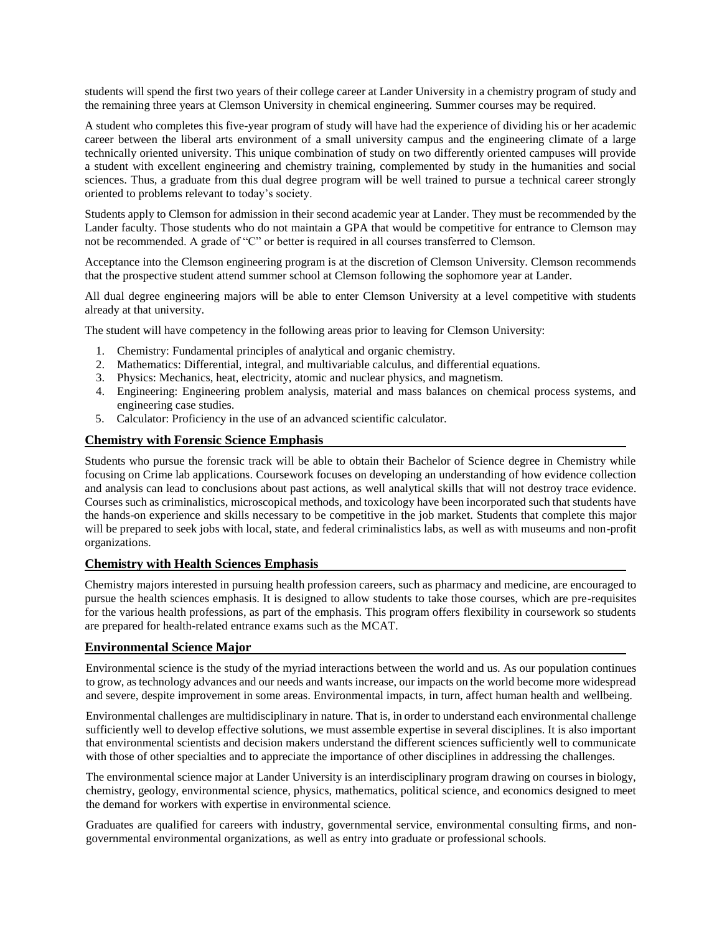students will spend the first two years of their college career at Lander University in a chemistry program of study and the remaining three years at Clemson University in chemical engineering. Summer courses may be required.

A student who completes this five-year program of study will have had the experience of dividing his or her academic career between the liberal arts environment of a small university campus and the engineering climate of a large technically oriented university. This unique combination of study on two differently oriented campuses will provide a student with excellent engineering and chemistry training, complemented by study in the humanities and social sciences. Thus, a graduate from this dual degree program will be well trained to pursue a technical career strongly oriented to problems relevant to today's society.

Students apply to Clemson for admission in their second academic year at Lander. They must be recommended by the Lander faculty. Those students who do not maintain a GPA that would be competitive for entrance to Clemson may not be recommended. A grade of "C" or better is required in all courses transferred to Clemson.

Acceptance into the Clemson engineering program is at the discretion of Clemson University. Clemson recommends that the prospective student attend summer school at Clemson following the sophomore year at Lander.

All dual degree engineering majors will be able to enter Clemson University at a level competitive with students already at that university.

The student will have competency in the following areas prior to leaving for Clemson University:

- 1. Chemistry: Fundamental principles of analytical and organic chemistry.
- 2. Mathematics: Differential, integral, and multivariable calculus, and differential equations.
- 3. Physics: Mechanics, heat, electricity, atomic and nuclear physics, and magnetism.
- 4. Engineering: Engineering problem analysis, material and mass balances on chemical process systems, and engineering case studies.
- 5. Calculator: Proficiency in the use of an advanced scientific calculator.

#### **Chemistry with Forensic Science Emphasis**

Students who pursue the forensic track will be able to obtain their Bachelor of Science degree in Chemistry while focusing on Crime lab applications. Coursework focuses on developing an understanding of how evidence collection and analysis can lead to conclusions about past actions, as well analytical skills that will not destroy trace evidence. Courses such as criminalistics, microscopical methods, and toxicology have been incorporated such that students have the hands-on experience and skills necessary to be competitive in the job market. Students that complete this major will be prepared to seek jobs with local, state, and federal criminalistics labs, as well as with museums and non-profit organizations.

#### **Chemistry with Health Sciences Emphasis**

Chemistry majors interested in pursuing health profession careers, such as pharmacy and medicine, are encouraged to pursue the health sciences emphasis. It is designed to allow students to take those courses, which are pre-requisites for the various health professions, as part of the emphasis. This program offers flexibility in coursework so students are prepared for health-related entrance exams such as the MCAT.

#### **Environmental Science Major**

Environmental science is the study of the myriad interactions between the world and us. As our population continues to grow, as technology advances and our needs and wants increase, our impacts on the world become more widespread and severe, despite improvement in some areas. Environmental impacts, in turn, affect human health and wellbeing.

Environmental challenges are multidisciplinary in nature. That is, in order to understand each environmental challenge sufficiently well to develop effective solutions, we must assemble expertise in several disciplines. It is also important that environmental scientists and decision makers understand the different sciences sufficiently well to communicate with those of other specialties and to appreciate the importance of other disciplines in addressing the challenges.

The environmental science major at Lander University is an interdisciplinary program drawing on courses in biology, chemistry, geology, environmental science, physics, mathematics, political science, and economics designed to meet the demand for workers with expertise in environmental science.

Graduates are qualified for careers with industry, governmental service, environmental consulting firms, and nongovernmental environmental organizations, as well as entry into graduate or professional schools.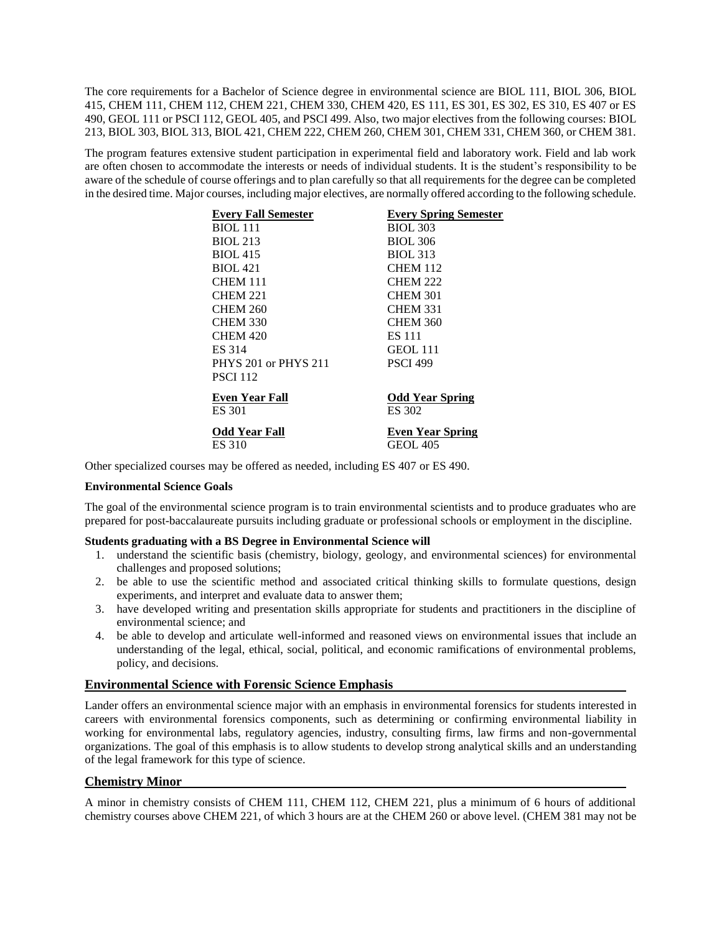The core requirements for a Bachelor of Science degree in environmental science are BIOL 111, BIOL 306, BIOL 415, CHEM 111, CHEM 112, CHEM 221, CHEM 330, CHEM 420, ES 111, ES 301, ES 302, ES 310, ES 407 or ES 490, GEOL 111 or PSCI 112, GEOL 405, and PSCI 499. Also, two major electives from the following courses: BIOL 213, BIOL 303, BIOL 313, BIOL 421, CHEM 222, CHEM 260, CHEM 301, CHEM 331, CHEM 360, or CHEM 381.

The program features extensive student participation in experimental field and laboratory work. Field and lab work are often chosen to accommodate the interests or needs of individual students. It is the student's responsibility to be aware of the schedule of course offerings and to plan carefully so that all requirements for the degree can be completed in the desired time. Major courses, including major electives, are normally offered according to the following schedule.

| <b>Everv Fall Semester</b> | <b>Every Spring Semester</b> |
|----------------------------|------------------------------|
| BIOL 111                   | <b>BIOL 303</b>              |
| <b>BIOL 213</b>            | <b>BIOL 306</b>              |
| <b>BIOL 415</b>            | <b>BIOL 313</b>              |
| <b>BIOL 421</b>            | <b>CHEM 112</b>              |
| <b>CHEM 111</b>            | <b>CHEM 222</b>              |
| <b>CHEM 221</b>            | <b>CHEM 301</b>              |
| <b>CHEM 260</b>            | <b>CHEM 331</b>              |
| <b>CHEM 330</b>            | <b>CHEM 360</b>              |
| <b>CHEM 420</b>            | <b>ES 111</b>                |
| ES 314                     | GEOL 111                     |
| PHYS 201 or PHYS 211       | <b>PSCI 499</b>              |
| <b>PSCI 112</b>            |                              |
| Even Year Fall             | <b>Odd Year Spring</b>       |
| ES 301                     | ES 302                       |
| Odd Year Fall              | <b>Even Year Spring</b>      |
| ES 310                     | <b>GEOL 405</b>              |

Other specialized courses may be offered as needed, including ES 407 or ES 490.

#### **Environmental Science Goals**

The goal of the environmental science program is to train environmental scientists and to produce graduates who are prepared for post-baccalaureate pursuits including graduate or professional schools or employment in the discipline.

#### **Students graduating with a BS Degree in Environmental Science will**

- 1. understand the scientific basis (chemistry, biology, geology, and environmental sciences) for environmental challenges and proposed solutions;
- 2. be able to use the scientific method and associated critical thinking skills to formulate questions, design experiments, and interpret and evaluate data to answer them;
- 3. have developed writing and presentation skills appropriate for students and practitioners in the discipline of environmental science; and
- 4. be able to develop and articulate well-informed and reasoned views on environmental issues that include an understanding of the legal, ethical, social, political, and economic ramifications of environmental problems, policy, and decisions.

#### **Environmental Science with Forensic Science Emphasis**

Lander offers an environmental science major with an emphasis in environmental forensics for students interested in careers with environmental forensics components, such as determining or confirming environmental liability in working for environmental labs, regulatory agencies, industry, consulting firms, law firms and non-governmental organizations. The goal of this emphasis is to allow students to develop strong analytical skills and an understanding of the legal framework for this type of science.

#### **Chemistry Minor**

A minor in chemistry consists of CHEM 111, CHEM 112, CHEM 221, plus a minimum of 6 hours of additional chemistry courses above CHEM 221, of which 3 hours are at the CHEM 260 or above level. (CHEM 381 may not be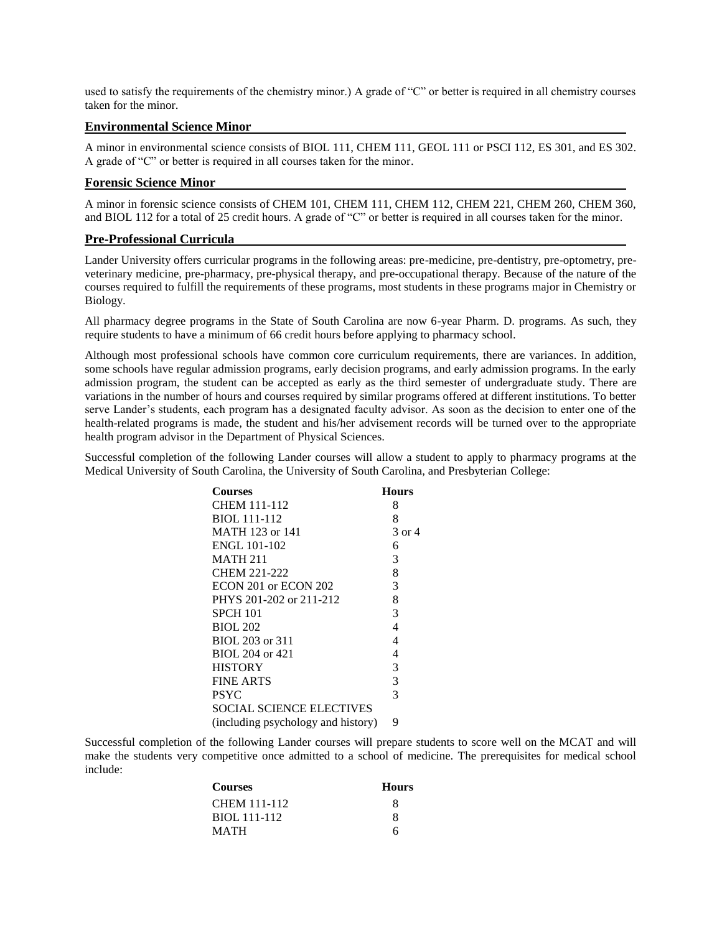used to satisfy the requirements of the chemistry minor.) A grade of "C" or better is required in all chemistry courses taken for the minor.

#### **Environmental Science Minor**

A minor in environmental science consists of BIOL 111, CHEM 111, GEOL 111 or PSCI 112, ES 301, and ES 302. A grade of "C" or better is required in all courses taken for the minor.

#### **Forensic Science Minor**

A minor in forensic science consists of CHEM 101, CHEM 111, CHEM 112, CHEM 221, CHEM 260, CHEM 360, and BIOL 112 for a total of 25 credit hours. A grade of "C" or better is required in all courses taken for the minor.

#### **Pre-Professional Curricula**

Lander University offers curricular programs in the following areas: pre-medicine, pre-dentistry, pre-optometry, preveterinary medicine, pre-pharmacy, pre-physical therapy, and pre-occupational therapy. Because of the nature of the courses required to fulfill the requirements of these programs, most students in these programs major in Chemistry or Biology.

All pharmacy degree programs in the State of South Carolina are now 6-year Pharm. D. programs. As such, they require students to have a minimum of 66 credit hours before applying to pharmacy school.

Although most professional schools have common core curriculum requirements, there are variances. In addition, some schools have regular admission programs, early decision programs, and early admission programs. In the early admission program, the student can be accepted as early as the third semester of undergraduate study. There are variations in the number of hours and courses required by similar programs offered at different institutions. To better serve Lander's students, each program has a designated faculty advisor. As soon as the decision to enter one of the health-related programs is made, the student and his/her advisement records will be turned over to the appropriate health program advisor in the Department of Physical Sciences.

Successful completion of the following Lander courses will allow a student to apply to pharmacy programs at the Medical University of South Carolina, the University of South Carolina, and Presbyterian College:

| <b>Courses</b>                     | <b>Hours</b>   |
|------------------------------------|----------------|
| CHEM 111-112                       | 8              |
| BIOL 111-112                       | 8              |
| MATH 123 or 141                    | 3 or 4         |
| ENGL 101-102                       | 6              |
| MATH 211                           | 3              |
| CHEM 221-222                       | 8              |
| ECON 201 or ECON 202               | 3              |
| PHYS 201-202 or 211-212            | 8              |
| <b>SPCH 101</b>                    | 3              |
| BIOL 202                           | $\overline{4}$ |
| BIOL 203 or 311                    | 4              |
| BIOL 204 or 421                    | 4              |
| HISTORY                            | 3              |
| <b>FINE ARTS</b>                   | 3              |
| PSYC                               | 3              |
| <b>SOCIAL SCIENCE ELECTIVES</b>    |                |
| (including psychology and history) | 9              |

Successful completion of the following Lander courses will prepare students to score well on the MCAT and will make the students very competitive once admitted to a school of medicine. The prerequisites for medical school include:

| Courses      | <b>Hours</b> |
|--------------|--------------|
| CHEM 111-112 | x            |
| BIOL 111-112 | x            |
| MATH         | 6            |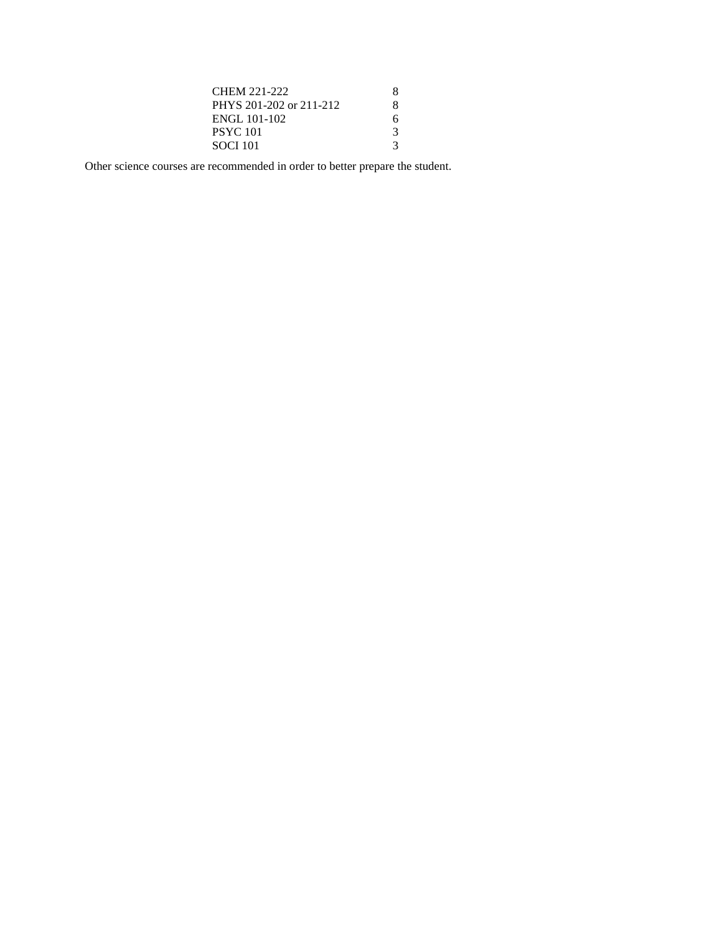| CHEM 221-222            | x |
|-------------------------|---|
| PHYS 201-202 or 211-212 | x |
| ENGL 101-102            | 6 |
| PSYC 101                | 3 |
| SOCI 101                | 3 |

Other science courses are recommended in order to better prepare the student.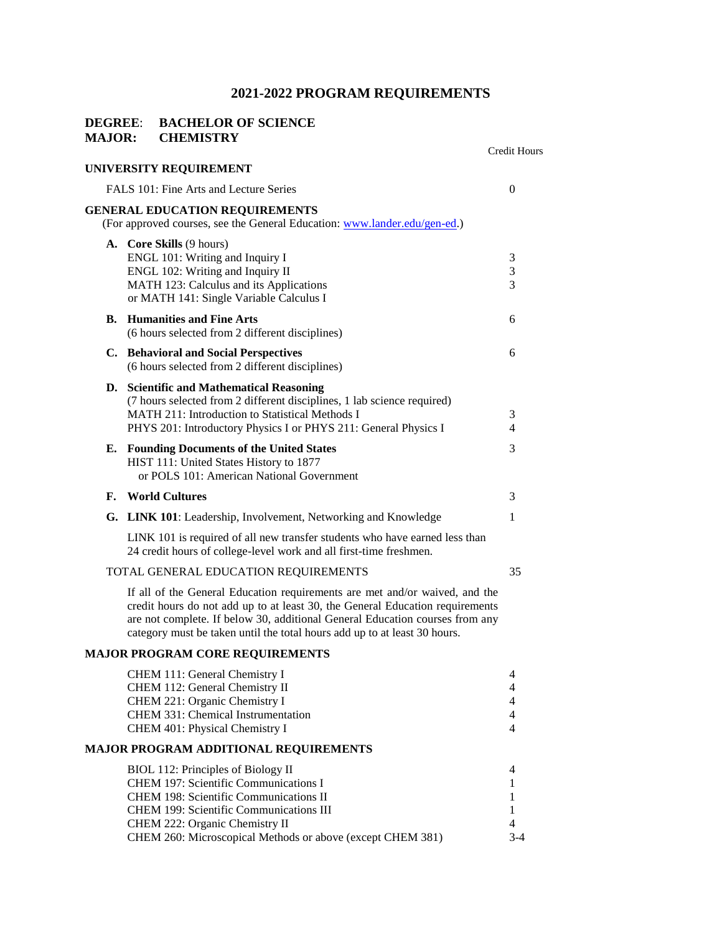# **DEGREE: BACHELOR OF SCIENCE<br>MAJOR: CHEMISTRY CHEMISTRY**

|    |                                                                                                                                                                                                                                                                                                                           | Credit Hours                                    |
|----|---------------------------------------------------------------------------------------------------------------------------------------------------------------------------------------------------------------------------------------------------------------------------------------------------------------------------|-------------------------------------------------|
|    | UNIVERSITY REQUIREMENT                                                                                                                                                                                                                                                                                                    |                                                 |
|    | FALS 101: Fine Arts and Lecture Series                                                                                                                                                                                                                                                                                    | $\overline{0}$                                  |
|    | <b>GENERAL EDUCATION REQUIREMENTS</b><br>(For approved courses, see the General Education: www.lander.edu/gen-ed.)                                                                                                                                                                                                        |                                                 |
|    | A. Core Skills (9 hours)<br>ENGL 101: Writing and Inquiry I<br>ENGL 102: Writing and Inquiry II<br>MATH 123: Calculus and its Applications<br>or MATH 141: Single Variable Calculus I                                                                                                                                     | 3<br>3<br>3                                     |
| В. | <b>Humanities and Fine Arts</b><br>(6 hours selected from 2 different disciplines)                                                                                                                                                                                                                                        | 6                                               |
|    | C. Behavioral and Social Perspectives<br>(6 hours selected from 2 different disciplines)                                                                                                                                                                                                                                  | 6                                               |
|    | D. Scientific and Mathematical Reasoning<br>(7 hours selected from 2 different disciplines, 1 lab science required)<br><b>MATH 211: Introduction to Statistical Methods I</b><br>PHYS 201: Introductory Physics I or PHYS 211: General Physics I                                                                          | 3<br>4                                          |
|    | E. Founding Documents of the United States<br>HIST 111: United States History to 1877<br>or POLS 101: American National Government                                                                                                                                                                                        | 3                                               |
| F. | <b>World Cultures</b>                                                                                                                                                                                                                                                                                                     | 3                                               |
| G. | <b>LINK 101</b> : Leadership, Involvement, Networking and Knowledge                                                                                                                                                                                                                                                       | 1                                               |
|    | LINK 101 is required of all new transfer students who have earned less than<br>24 credit hours of college-level work and all first-time freshmen.                                                                                                                                                                         |                                                 |
|    | TOTAL GENERAL EDUCATION REQUIREMENTS                                                                                                                                                                                                                                                                                      | 35                                              |
|    | If all of the General Education requirements are met and/or waived, and the<br>credit hours do not add up to at least 30, the General Education requirements<br>are not complete. If below 30, additional General Education courses from any<br>category must be taken until the total hours add up to at least 30 hours. |                                                 |
|    | <b>MAJOR PROGRAM CORE REQUIREMENTS</b>                                                                                                                                                                                                                                                                                    |                                                 |
|    | CHEM 111: General Chemistry I<br>CHEM 112: General Chemistry II<br>CHEM 221: Organic Chemistry I<br>CHEM 331: Chemical Instrumentation<br>CHEM 401: Physical Chemistry I                                                                                                                                                  | 4<br>4<br>$\overline{4}$<br>$\overline{4}$<br>4 |
|    | <b>MAJOR PROGRAM ADDITIONAL REQUIREMENTS</b>                                                                                                                                                                                                                                                                              |                                                 |
|    | BIOL 112: Principles of Biology II<br>CHEM 197: Scientific Communications I<br><b>CHEM 198: Scientific Communications II</b><br><b>CHEM 199: Scientific Communications III</b><br>CHEM 222: Organic Chemistry II<br>CHEM 260: Microscopical Methods or above (except CHEM 381)                                            | 4<br>1<br>1<br>1<br>4<br>$3 - 4$                |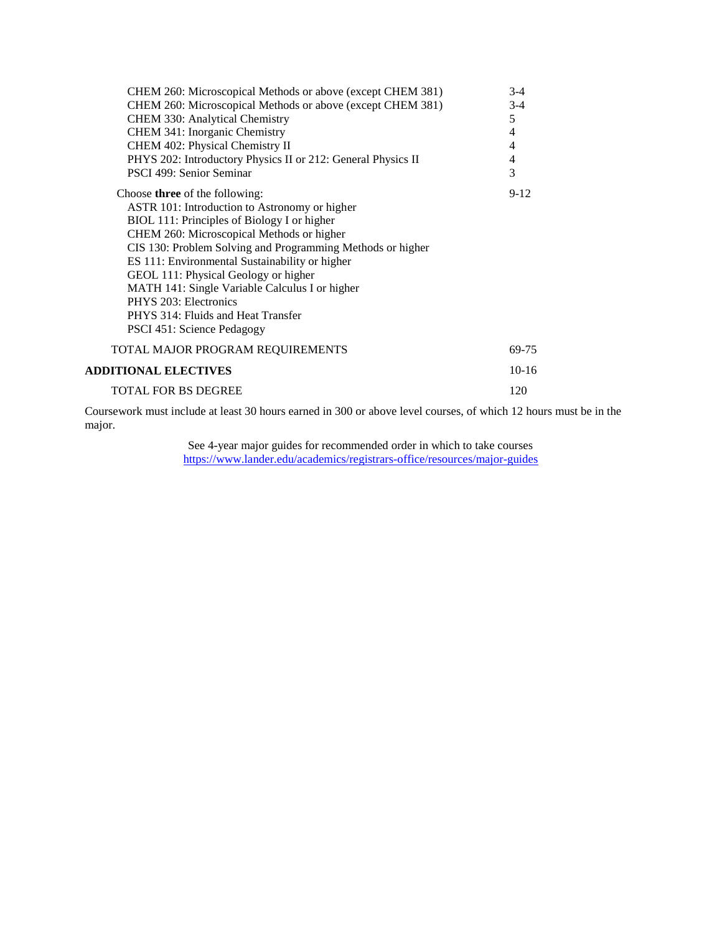| CHEM 260: Microscopical Methods or above (except CHEM 381)   | $3-4$          |
|--------------------------------------------------------------|----------------|
| CHEM 260: Microscopical Methods or above (except CHEM 381)   | $3-4$          |
| CHEM 330: Analytical Chemistry                               | 5              |
| CHEM 341: Inorganic Chemistry                                | 4              |
| CHEM 402: Physical Chemistry II                              | 4              |
| PHYS 202: Introductory Physics II or 212: General Physics II | $\overline{4}$ |
| PSCI 499: Senior Seminar                                     | 3              |
| Choose <b>three</b> of the following:                        | $9-12$         |
| ASTR 101: Introduction to Astronomy or higher                |                |
| BIOL 111: Principles of Biology I or higher                  |                |
| CHEM 260: Microscopical Methods or higher                    |                |
| CIS 130: Problem Solving and Programming Methods or higher   |                |
| ES 111: Environmental Sustainability or higher               |                |
| GEOL 111: Physical Geology or higher                         |                |
| MATH 141: Single Variable Calculus I or higher               |                |
| PHYS 203: Electronics                                        |                |
| PHYS 314: Fluids and Heat Transfer                           |                |
| PSCI 451: Science Pedagogy                                   |                |
| TOTAL MAJOR PROGRAM REQUIREMENTS                             | 69-75          |
| <b>ADDITIONAL ELECTIVES</b>                                  | $10-16$        |
| <b>TOTAL FOR BS DEGREE</b>                                   | 120            |

Coursework must include at least 30 hours earned in 300 or above level courses, of which 12 hours must be in the major.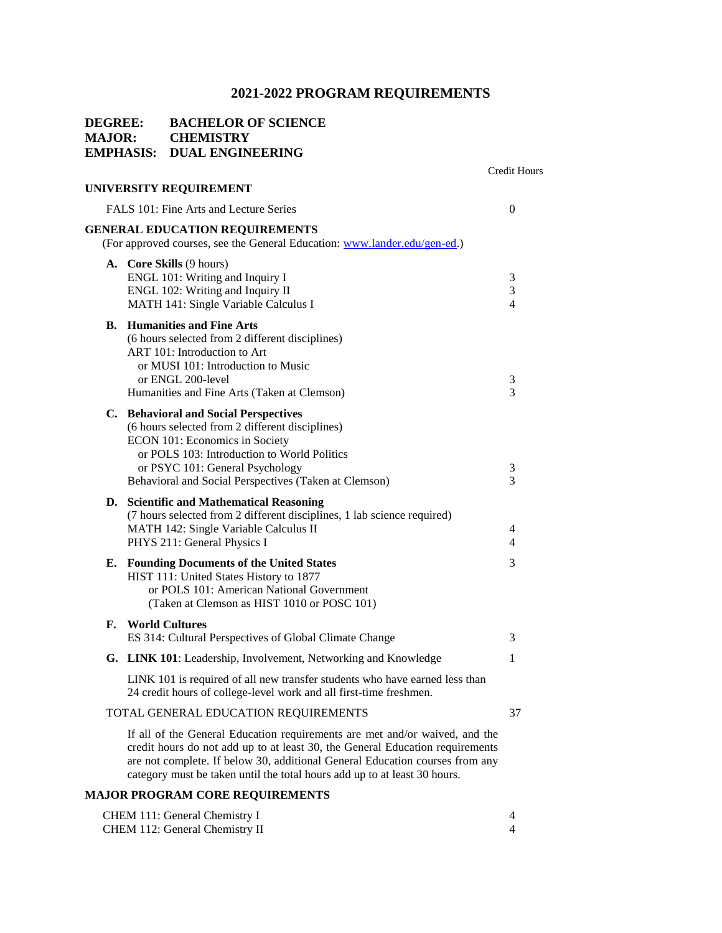# **DEGREE: BACHELOR OF SCIENCE MAJOR: CHEMISTRY EMPHASIS: DUAL ENGINEERING**

|    |                                                                                                                                                                                                                                                                                                                           | <b>Credit Hours</b> |
|----|---------------------------------------------------------------------------------------------------------------------------------------------------------------------------------------------------------------------------------------------------------------------------------------------------------------------------|---------------------|
|    | UNIVERSITY REQUIREMENT                                                                                                                                                                                                                                                                                                    |                     |
|    | FALS 101: Fine Arts and Lecture Series                                                                                                                                                                                                                                                                                    | $\boldsymbol{0}$    |
|    | <b>GENERAL EDUCATION REQUIREMENTS</b><br>(For approved courses, see the General Education: www.lander.edu/gen-ed.)                                                                                                                                                                                                        |                     |
|    | A. Core Skills (9 hours)<br>ENGL 101: Writing and Inquiry I<br>ENGL 102: Writing and Inquiry II<br>MATH 141: Single Variable Calculus I                                                                                                                                                                                   | 3<br>3<br>4         |
| В. | <b>Humanities and Fine Arts</b><br>(6 hours selected from 2 different disciplines)<br>ART 101: Introduction to Art<br>or MUSI 101: Introduction to Music<br>or ENGL 200-level<br>Humanities and Fine Arts (Taken at Clemson)                                                                                              | 3<br>3              |
|    | C. Behavioral and Social Perspectives<br>(6 hours selected from 2 different disciplines)<br>ECON 101: Economics in Society<br>or POLS 103: Introduction to World Politics<br>or PSYC 101: General Psychology<br>Behavioral and Social Perspectives (Taken at Clemson)                                                     | 3<br>3              |
| D. | <b>Scientific and Mathematical Reasoning</b><br>(7 hours selected from 2 different disciplines, 1 lab science required)<br>MATH 142: Single Variable Calculus II<br>PHYS 211: General Physics I                                                                                                                           | 4<br>$\overline{4}$ |
| Е. | <b>Founding Documents of the United States</b><br>HIST 111: United States History to 1877<br>or POLS 101: American National Government<br>(Taken at Clemson as HIST 1010 or POSC 101)                                                                                                                                     | 3                   |
| F. | <b>World Cultures</b><br>ES 314: Cultural Perspectives of Global Climate Change                                                                                                                                                                                                                                           | 3                   |
|    | G. LINK 101: Leadership, Involvement, Networking and Knowledge                                                                                                                                                                                                                                                            | 1                   |
|    | LINK 101 is required of all new transfer students who have earned less than<br>24 credit hours of college-level work and all first-time freshmen.                                                                                                                                                                         |                     |
|    | TOTAL GENERAL EDUCATION REQUIREMENTS                                                                                                                                                                                                                                                                                      | 37                  |
|    | If all of the General Education requirements are met and/or waived, and the<br>credit hours do not add up to at least 30, the General Education requirements<br>are not complete. If below 30, additional General Education courses from any<br>category must be taken until the total hours add up to at least 30 hours. |                     |

# **MAJOR PROGRAM CORE REQUIREMENTS**

| CHEM 111: General Chemistry I  |  |
|--------------------------------|--|
| CHEM 112: General Chemistry II |  |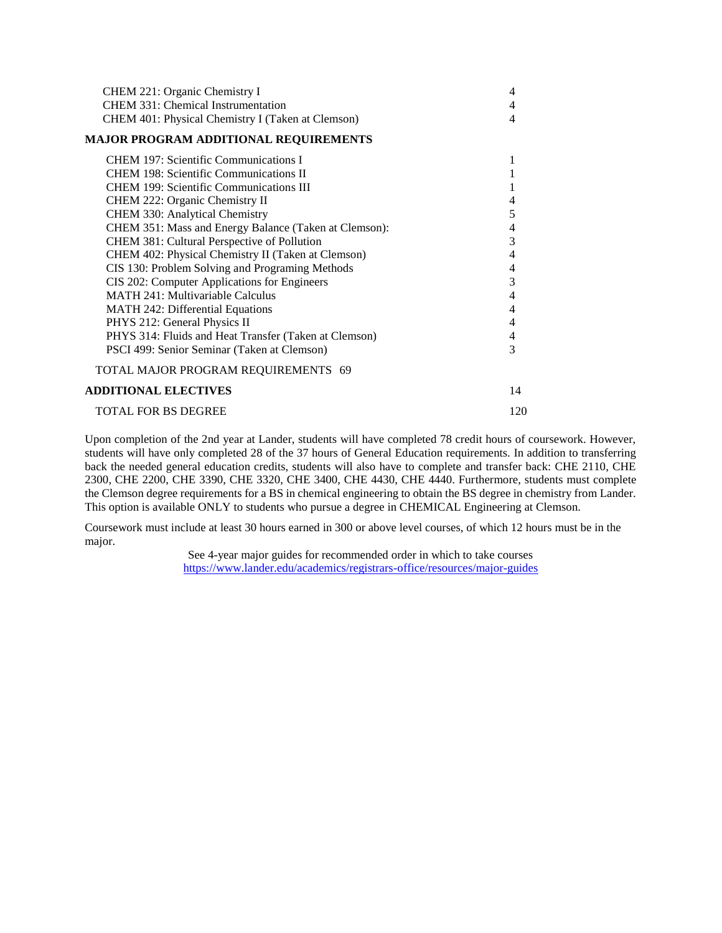| 4                        |
|--------------------------|
| 4                        |
| 4                        |
|                          |
| 1                        |
|                          |
| 1                        |
| 4                        |
| 5                        |
| $\overline{\mathcal{L}}$ |
| 3                        |
| 4                        |
| $\overline{\mathcal{L}}$ |
| 3                        |
| 4                        |
| 4                        |
| 4                        |
| 4                        |
| 3                        |
|                          |
| 14                       |
| 120                      |
|                          |

Upon completion of the 2nd year at Lander, students will have completed 78 credit hours of coursework. However, students will have only completed 28 of the 37 hours of General Education requirements. In addition to transferring back the needed general education credits, students will also have to complete and transfer back: CHE 2110, CHE 2300, CHE 2200, CHE 3390, CHE 3320, CHE 3400, CHE 4430, CHE 4440. Furthermore, students must complete the Clemson degree requirements for a BS in chemical engineering to obtain the BS degree in chemistry from Lander. This option is available ONLY to students who pursue a degree in CHEMICAL Engineering at Clemson.

Coursework must include at least 30 hours earned in 300 or above level courses, of which 12 hours must be in the major.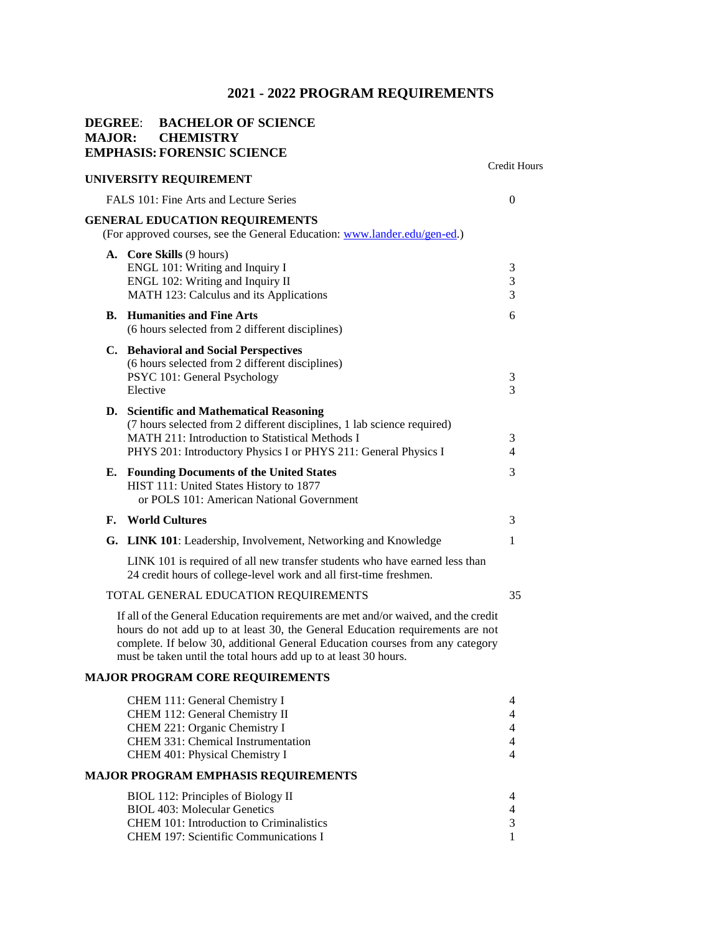Credit Hours

# **DEGREE**: **BACHELOR OF SCIENCE MAJOR: CHEMISTRY EMPHASIS: FORENSIC SCIENCE**

| UNIVERSITY REQUIREMENT                     |                                                                                                                                                                                                                                                                                                                           |                       |  |
|--------------------------------------------|---------------------------------------------------------------------------------------------------------------------------------------------------------------------------------------------------------------------------------------------------------------------------------------------------------------------------|-----------------------|--|
|                                            | FALS 101: Fine Arts and Lecture Series                                                                                                                                                                                                                                                                                    | $\theta$              |  |
|                                            | <b>GENERAL EDUCATION REQUIREMENTS</b><br>(For approved courses, see the General Education: www.lander.edu/gen-ed.)                                                                                                                                                                                                        |                       |  |
|                                            | A. Core Skills (9 hours)<br>ENGL 101: Writing and Inquiry I<br>ENGL 102: Writing and Inquiry II<br>MATH 123: Calculus and its Applications                                                                                                                                                                                | 3<br>3<br>3           |  |
| В.                                         | <b>Humanities and Fine Arts</b><br>(6 hours selected from 2 different disciplines)                                                                                                                                                                                                                                        | 6                     |  |
|                                            | C. Behavioral and Social Perspectives<br>(6 hours selected from 2 different disciplines)<br>PSYC 101: General Psychology<br>Elective                                                                                                                                                                                      | 3<br>3                |  |
|                                            | D. Scientific and Mathematical Reasoning<br>(7 hours selected from 2 different disciplines, 1 lab science required)<br>MATH 211: Introduction to Statistical Methods I<br>PHYS 201: Introductory Physics I or PHYS 211: General Physics I                                                                                 | 3<br>4                |  |
| Е.                                         | <b>Founding Documents of the United States</b><br>HIST 111: United States History to 1877<br>or POLS 101: American National Government                                                                                                                                                                                    | 3                     |  |
| F.                                         | <b>World Cultures</b>                                                                                                                                                                                                                                                                                                     | 3                     |  |
|                                            | G. LINK 101: Leadership, Involvement, Networking and Knowledge                                                                                                                                                                                                                                                            | 1                     |  |
|                                            | LINK 101 is required of all new transfer students who have earned less than<br>24 credit hours of college-level work and all first-time freshmen.                                                                                                                                                                         |                       |  |
|                                            | TOTAL GENERAL EDUCATION REQUIREMENTS                                                                                                                                                                                                                                                                                      | 35                    |  |
|                                            | If all of the General Education requirements are met and/or waived, and the credit<br>hours do not add up to at least 30, the General Education requirements are not<br>complete. If below 30, additional General Education courses from any category<br>must be taken until the total hours add up to at least 30 hours. |                       |  |
|                                            | <b>MAJOR PROGRAM CORE REQUIREMENTS</b>                                                                                                                                                                                                                                                                                    |                       |  |
|                                            | CHEM 111: General Chemistry I<br>CHEM 112: General Chemistry II<br>CHEM 221: Organic Chemistry I<br><b>CHEM 331: Chemical Instrumentation</b><br>CHEM 401: Physical Chemistry I                                                                                                                                           | 4<br>4<br>4<br>4<br>4 |  |
| <b>MAJOR PROGRAM EMPHASIS REQUIREMENTS</b> |                                                                                                                                                                                                                                                                                                                           |                       |  |

| BIOL 112: Principles of Biology II       |  |
|------------------------------------------|--|
| <b>BIOL</b> 403: Molecular Genetics      |  |
| CHEM 101: Introduction to Criminalistics |  |
| CHEM 197: Scientific Communications I    |  |
|                                          |  |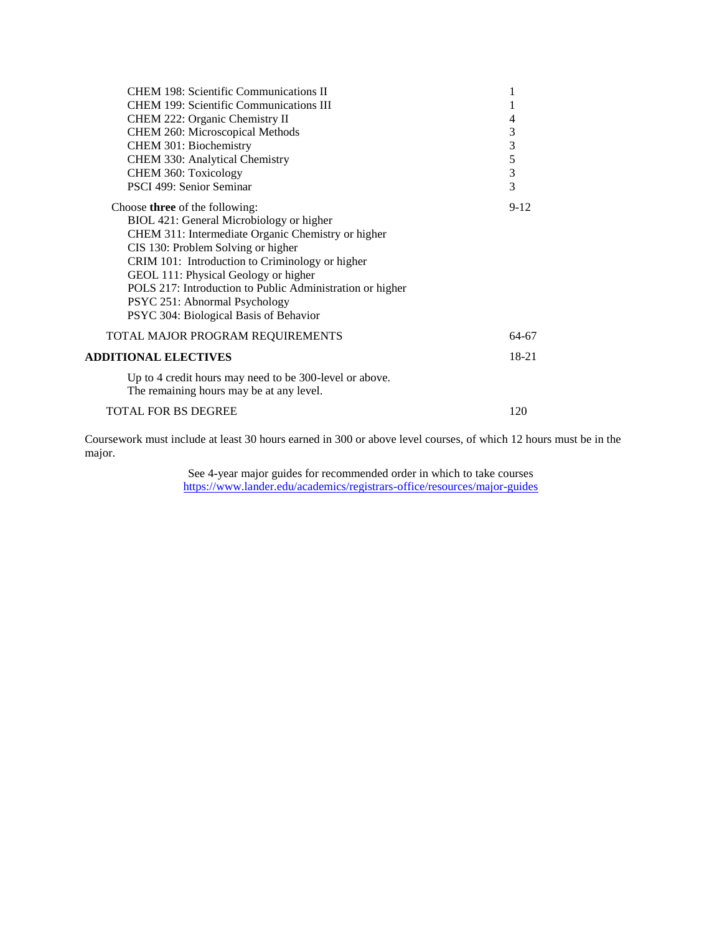| <b>CHEM 198: Scientific Communications II</b>                                                       |               |
|-----------------------------------------------------------------------------------------------------|---------------|
| <b>CHEM 199: Scientific Communications III</b>                                                      |               |
| CHEM 222: Organic Chemistry II                                                                      | 4             |
| CHEM 260: Microscopical Methods                                                                     | 3             |
| CHEM 301: Biochemistry                                                                              | 3             |
| CHEM 330: Analytical Chemistry                                                                      | $\frac{5}{3}$ |
| CHEM 360: Toxicology                                                                                |               |
| PSCI 499: Senior Seminar                                                                            | 3             |
| Choose <b>three</b> of the following:                                                               | $9 - 12$      |
| BIOL 421: General Microbiology or higher                                                            |               |
| CHEM 311: Intermediate Organic Chemistry or higher                                                  |               |
| CIS 130: Problem Solving or higher                                                                  |               |
| CRIM 101: Introduction to Criminology or higher                                                     |               |
| GEOL 111: Physical Geology or higher                                                                |               |
| POLS 217: Introduction to Public Administration or higher                                           |               |
| PSYC 251: Abnormal Psychology                                                                       |               |
| PSYC 304: Biological Basis of Behavior                                                              |               |
| TOTAL MAJOR PROGRAM REQUIREMENTS                                                                    | 64-67         |
| <b>ADDITIONAL ELECTIVES</b>                                                                         | $18-21$       |
| Up to 4 credit hours may need to be 300-level or above.<br>The remaining hours may be at any level. |               |
| <b>TOTAL FOR BS DEGREE</b>                                                                          | 120           |

Coursework must include at least 30 hours earned in 300 or above level courses, of which 12 hours must be in the major.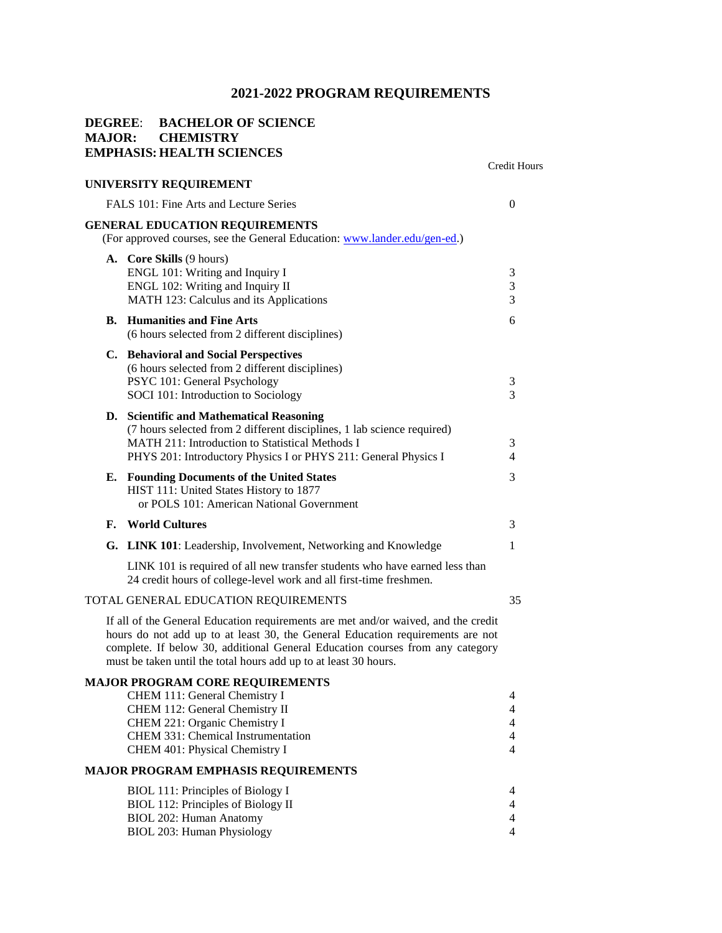## **DEGREE**: **BACHELOR OF SCIENCE MAJOR: CHEMISTRY EMPHASIS: HEALTH SCIENCES**

### **UNIVERSITY REQUIREMENT**

Credit Hours

| FALS 101: Fine Arts and Lecture Series |                                                                                                                                                                                                                                                                                                                           |                                                         |
|----------------------------------------|---------------------------------------------------------------------------------------------------------------------------------------------------------------------------------------------------------------------------------------------------------------------------------------------------------------------------|---------------------------------------------------------|
|                                        | <b>GENERAL EDUCATION REQUIREMENTS</b>                                                                                                                                                                                                                                                                                     |                                                         |
|                                        | (For approved courses, see the General Education: www.lander.edu/gen-ed.)                                                                                                                                                                                                                                                 |                                                         |
|                                        | A. Core Skills (9 hours)<br>ENGL 101: Writing and Inquiry I<br>ENGL 102: Writing and Inquiry II<br>MATH 123: Calculus and its Applications                                                                                                                                                                                | 3<br>3<br>3                                             |
|                                        | <b>B.</b> Humanities and Fine Arts<br>(6 hours selected from 2 different disciplines)                                                                                                                                                                                                                                     | 6                                                       |
|                                        | C. Behavioral and Social Perspectives<br>(6 hours selected from 2 different disciplines)<br>PSYC 101: General Psychology<br>SOCI 101: Introduction to Sociology                                                                                                                                                           | 3<br>3                                                  |
|                                        | D. Scientific and Mathematical Reasoning<br>(7 hours selected from 2 different disciplines, 1 lab science required)<br><b>MATH 211: Introduction to Statistical Methods I</b><br>PHYS 201: Introductory Physics I or PHYS 211: General Physics I                                                                          | 3<br>$\overline{4}$                                     |
|                                        | <b>E.</b> Founding Documents of the United States<br>HIST 111: United States History to 1877<br>or POLS 101: American National Government                                                                                                                                                                                 | 3                                                       |
|                                        | <b>F.</b> World Cultures                                                                                                                                                                                                                                                                                                  | 3                                                       |
|                                        | G. LINK 101: Leadership, Involvement, Networking and Knowledge                                                                                                                                                                                                                                                            | $\mathbf{1}$                                            |
|                                        | LINK 101 is required of all new transfer students who have earned less than<br>24 credit hours of college-level work and all first-time freshmen.                                                                                                                                                                         |                                                         |
|                                        | TOTAL GENERAL EDUCATION REQUIREMENTS                                                                                                                                                                                                                                                                                      | 35                                                      |
|                                        | If all of the General Education requirements are met and/or waived, and the credit<br>hours do not add up to at least 30, the General Education requirements are not<br>complete. If below 30, additional General Education courses from any category<br>must be taken until the total hours add up to at least 30 hours. |                                                         |
|                                        | <b>MAJOR PROGRAM CORE REQUIREMENTS</b><br>CHEM 111: General Chemistry I<br>CHEM 112: General Chemistry II<br>CHEM 221: Organic Chemistry I<br>CHEM 331: Chemical Instrumentation<br>CHEM 401: Physical Chemistry I                                                                                                        | 4<br>4<br>4<br>$\overline{4}$<br>4                      |
|                                        | <b>MAJOR PROGRAM EMPHASIS REQUIREMENTS</b>                                                                                                                                                                                                                                                                                |                                                         |
|                                        | BIOL 111: Principles of Biology I<br>BIOL 112: Principles of Biology II<br>BIOL 202: Human Anatomy<br>BIOL 203: Human Physiology                                                                                                                                                                                          | 4<br>$\overline{4}$<br>$\overline{4}$<br>$\overline{4}$ |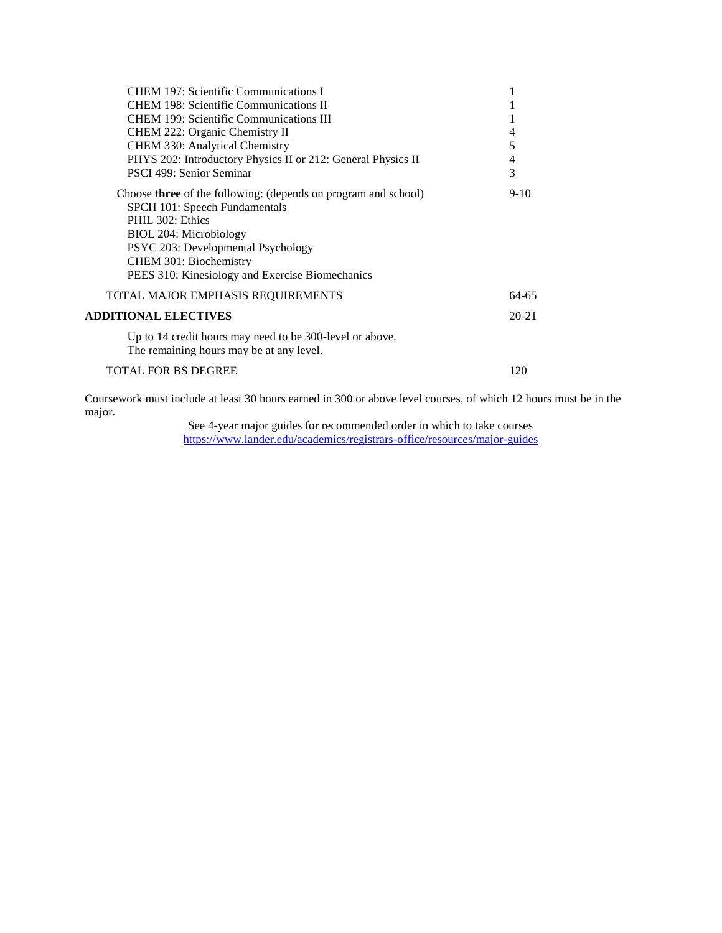| CHEM 197: Scientific Communications I                                                                  |           |
|--------------------------------------------------------------------------------------------------------|-----------|
| <b>CHEM 198: Scientific Communications II</b>                                                          |           |
| <b>CHEM 199: Scientific Communications III</b>                                                         |           |
| CHEM 222: Organic Chemistry II                                                                         | 4         |
| CHEM 330: Analytical Chemistry                                                                         | 5         |
| PHYS 202: Introductory Physics II or 212: General Physics II                                           | 4         |
| PSCI 499: Senior Seminar                                                                               | 3         |
| Choose <b>three</b> of the following: (depends on program and school)<br>SPCH 101: Speech Fundamentals | $9-10$    |
| PHIL 302: Ethics                                                                                       |           |
| BIOL 204: Microbiology                                                                                 |           |
| PSYC 203: Developmental Psychology                                                                     |           |
| CHEM 301: Biochemistry                                                                                 |           |
| PEES 310: Kinesiology and Exercise Biomechanics                                                        |           |
| TOTAL MAJOR EMPHASIS REQUIREMENTS                                                                      | 64-65     |
| <b>ADDITIONAL ELECTIVES</b>                                                                            | $20 - 21$ |
| Up to 14 credit hours may need to be 300-level or above.<br>The remaining hours may be at any level.   |           |
| <b>TOTAL FOR BS DEGREE</b>                                                                             | 120       |

Coursework must include at least 30 hours earned in 300 or above level courses, of which 12 hours must be in the major.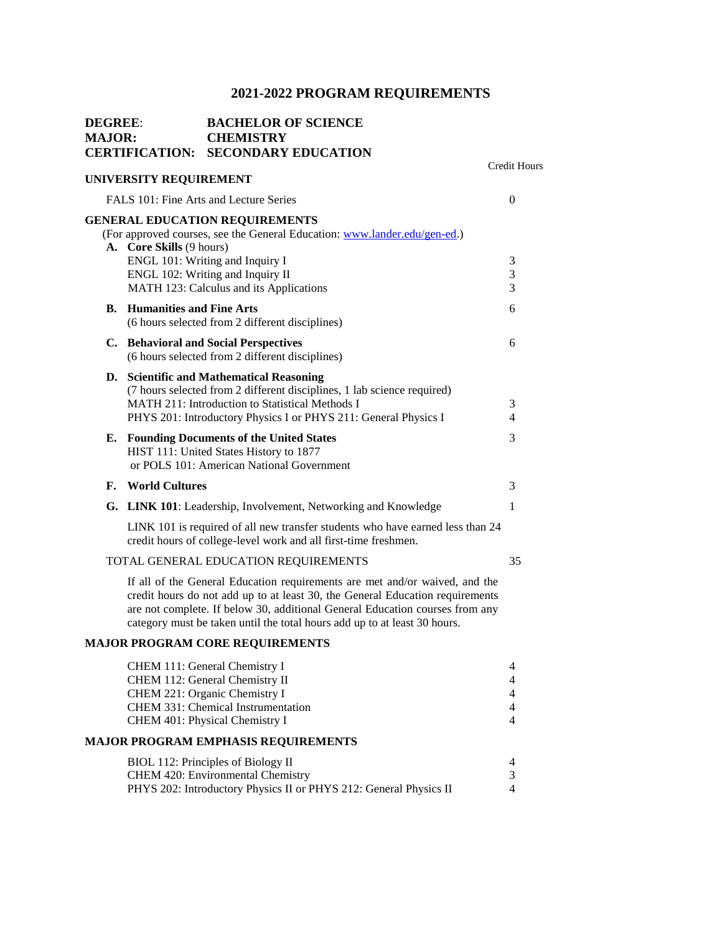| <b>DEGREE:</b><br><b>MAJOR:</b> |    |                                    | <b>BACHELOR OF SCIENCE</b><br><b>CHEMISTRY</b><br><b>CERTIFICATION: SECONDARY EDUCATION</b>                                                                                                                                                                                                                               |                                                                           |
|---------------------------------|----|------------------------------------|---------------------------------------------------------------------------------------------------------------------------------------------------------------------------------------------------------------------------------------------------------------------------------------------------------------------------|---------------------------------------------------------------------------|
|                                 |    | UNIVERSITY REQUIREMENT             |                                                                                                                                                                                                                                                                                                                           | <b>Credit Hours</b>                                                       |
|                                 |    |                                    | FALS 101: Fine Arts and Lecture Series                                                                                                                                                                                                                                                                                    | $\overline{0}$                                                            |
|                                 |    | A. Core Skills (9 hours)           | <b>GENERAL EDUCATION REQUIREMENTS</b><br>(For approved courses, see the General Education: www.lander.edu/gen-ed.)<br>ENGL 101: Writing and Inquiry I<br>ENGL 102: Writing and Inquiry II                                                                                                                                 | 3<br>3                                                                    |
|                                 |    | <b>B.</b> Humanities and Fine Arts | MATH 123: Calculus and its Applications                                                                                                                                                                                                                                                                                   | 3<br>6                                                                    |
|                                 |    |                                    | (6 hours selected from 2 different disciplines)                                                                                                                                                                                                                                                                           |                                                                           |
|                                 |    |                                    | C. Behavioral and Social Perspectives<br>(6 hours selected from 2 different disciplines)                                                                                                                                                                                                                                  | 6                                                                         |
|                                 | D. |                                    | <b>Scientific and Mathematical Reasoning</b><br>(7 hours selected from 2 different disciplines, 1 lab science required)<br>MATH 211: Introduction to Statistical Methods I<br>PHYS 201: Introductory Physics I or PHYS 211: General Physics I                                                                             | 3<br>4                                                                    |
|                                 | Е. |                                    | <b>Founding Documents of the United States</b><br>HIST 111: United States History to 1877<br>or POLS 101: American National Government                                                                                                                                                                                    | 3                                                                         |
|                                 | F. | <b>World Cultures</b>              |                                                                                                                                                                                                                                                                                                                           | 3                                                                         |
|                                 |    |                                    | G. LINK 101: Leadership, Involvement, Networking and Knowledge                                                                                                                                                                                                                                                            | 1                                                                         |
|                                 |    |                                    | LINK 101 is required of all new transfer students who have earned less than 24<br>credit hours of college-level work and all first-time freshmen.                                                                                                                                                                         |                                                                           |
|                                 |    |                                    | TOTAL GENERAL EDUCATION REQUIREMENTS                                                                                                                                                                                                                                                                                      | 35                                                                        |
|                                 |    |                                    | If all of the General Education requirements are met and/or waived, and the<br>credit hours do not add up to at least 30, the General Education requirements<br>are not complete. If below 30, additional General Education courses from any<br>category must be taken until the total hours add up to at least 30 hours. |                                                                           |
|                                 |    |                                    | <b>MAJOR PROGRAM CORE REQUIREMENTS</b>                                                                                                                                                                                                                                                                                    |                                                                           |
|                                 |    |                                    | CHEM 111: General Chemistry I<br>CHEM 112: General Chemistry II<br>CHEM 221: Organic Chemistry I<br>CHEM 331: Chemical Instrumentation<br>CHEM 401: Physical Chemistry I                                                                                                                                                  | $\overline{4}$<br>$\overline{4}$<br>$\overline{4}$<br>$\overline{4}$<br>4 |
|                                 |    |                                    | <b>MAJOR PROGRAM EMPHASIS REQUIREMENTS</b>                                                                                                                                                                                                                                                                                |                                                                           |
|                                 |    |                                    | BIOL 112: Principles of Biology II<br>CHEM 420: Environmental Chemistry<br>PHYS 202: Introductory Physics II or PHYS 212: General Physics II                                                                                                                                                                              | 4<br>3<br>4                                                               |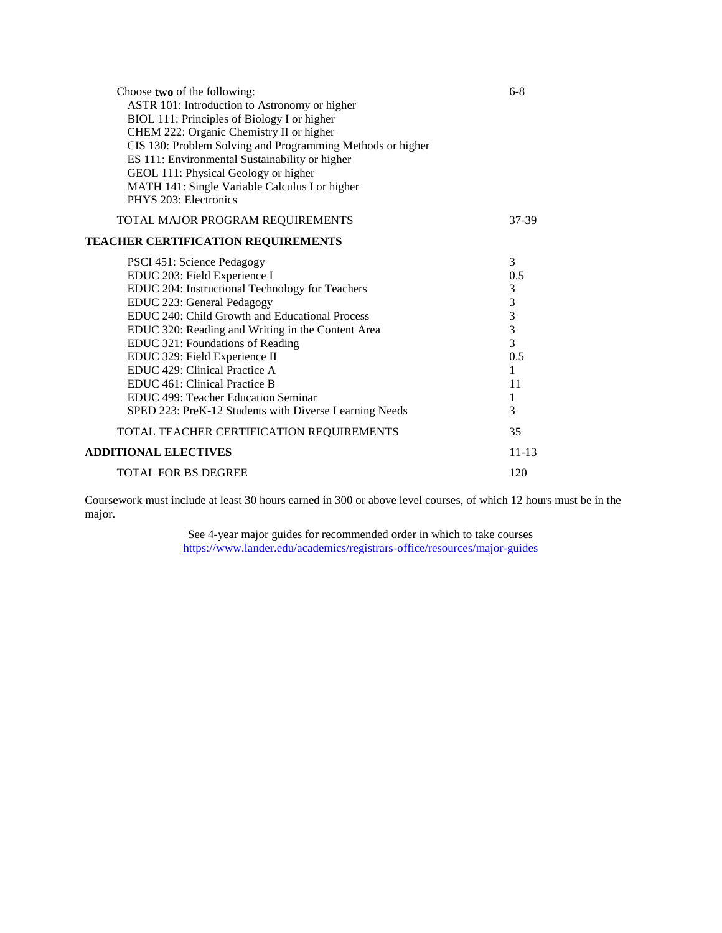| Choose two of the following:<br>ASTR 101: Introduction to Astronomy or higher<br>BIOL 111: Principles of Biology I or higher<br>CHEM 222: Organic Chemistry II or higher<br>CIS 130: Problem Solving and Programming Methods or higher<br>ES 111: Environmental Sustainability or higher<br>GEOL 111: Physical Geology or higher<br>MATH 141: Single Variable Calculus I or higher<br>PHYS 203: Electronics                                                                                | $6-8$                                                                                                                       |
|--------------------------------------------------------------------------------------------------------------------------------------------------------------------------------------------------------------------------------------------------------------------------------------------------------------------------------------------------------------------------------------------------------------------------------------------------------------------------------------------|-----------------------------------------------------------------------------------------------------------------------------|
| TOTAL MAJOR PROGRAM REQUIREMENTS                                                                                                                                                                                                                                                                                                                                                                                                                                                           | 37-39                                                                                                                       |
| <b>TEACHER CERTIFICATION REQUIREMENTS</b>                                                                                                                                                                                                                                                                                                                                                                                                                                                  |                                                                                                                             |
| PSCI 451: Science Pedagogy<br>EDUC 203: Field Experience I<br>EDUC 204: Instructional Technology for Teachers<br>EDUC 223: General Pedagogy<br>EDUC 240: Child Growth and Educational Process<br>EDUC 320: Reading and Writing in the Content Area<br>EDUC 321: Foundations of Reading<br>EDUC 329: Field Experience II<br>EDUC 429: Clinical Practice A<br>EDUC 461: Clinical Practice B<br>EDUC 499: Teacher Education Seminar<br>SPED 223: PreK-12 Students with Diverse Learning Needs | 3<br>0.5<br>$\sqrt{3}$<br>$\begin{array}{c} 3 \\ 3 \\ 3 \\ 3 \end{array}$<br>0.5<br>$\mathbf{1}$<br>11<br>$\mathbf{1}$<br>3 |
| TOTAL TEACHER CERTIFICATION REQUIREMENTS                                                                                                                                                                                                                                                                                                                                                                                                                                                   | 35                                                                                                                          |
| <b>ADDITIONAL ELECTIVES</b>                                                                                                                                                                                                                                                                                                                                                                                                                                                                | $11 - 13$                                                                                                                   |
| <b>TOTAL FOR BS DEGREE</b>                                                                                                                                                                                                                                                                                                                                                                                                                                                                 | 120                                                                                                                         |

Coursework must include at least 30 hours earned in 300 or above level courses, of which 12 hours must be in the major.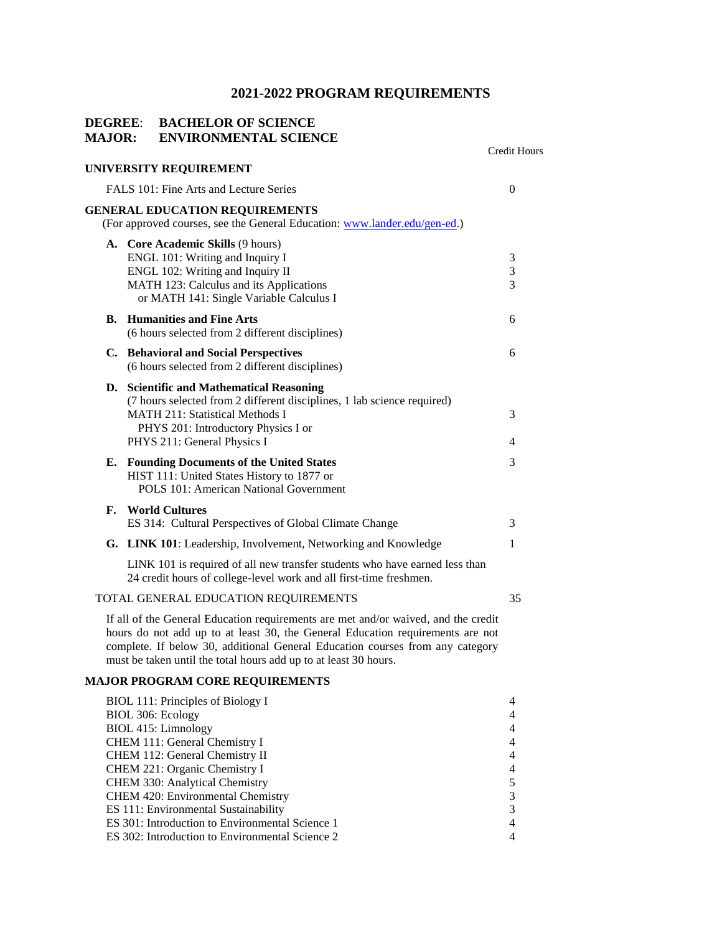#### **DEGREE**: **BACHELOR OF SCIENCE MAJOR: ENVIRONMENTAL SCIENCE**

|    |                                                                                                                                                                                                                                                                                                                           | Credit Hours                                    |
|----|---------------------------------------------------------------------------------------------------------------------------------------------------------------------------------------------------------------------------------------------------------------------------------------------------------------------------|-------------------------------------------------|
|    | UNIVERSITY REQUIREMENT                                                                                                                                                                                                                                                                                                    |                                                 |
|    | FALS 101: Fine Arts and Lecture Series                                                                                                                                                                                                                                                                                    | $\overline{0}$                                  |
|    | <b>GENERAL EDUCATION REQUIREMENTS</b><br>(For approved courses, see the General Education: www.lander.edu/gen-ed.)                                                                                                                                                                                                        |                                                 |
|    | A. Core Academic Skills (9 hours)<br>ENGL 101: Writing and Inquiry I<br>ENGL 102: Writing and Inquiry II<br>MATH 123: Calculus and its Applications<br>or MATH 141: Single Variable Calculus I                                                                                                                            | 3<br>$\sqrt{3}$<br>3                            |
|    | <b>B.</b> Humanities and Fine Arts<br>(6 hours selected from 2 different disciplines)                                                                                                                                                                                                                                     | 6                                               |
|    | C. Behavioral and Social Perspectives<br>(6 hours selected from 2 different disciplines)                                                                                                                                                                                                                                  | 6                                               |
|    | D. Scientific and Mathematical Reasoning<br>(7 hours selected from 2 different disciplines, 1 lab science required)<br><b>MATH 211: Statistical Methods I</b><br>PHYS 201: Introductory Physics I or<br>PHYS 211: General Physics I                                                                                       | 3<br>4                                          |
| Е. | <b>Founding Documents of the United States</b><br>HIST 111: United States History to 1877 or<br><b>POLS 101: American National Government</b>                                                                                                                                                                             | 3                                               |
| F. | <b>World Cultures</b><br>ES 314: Cultural Perspectives of Global Climate Change                                                                                                                                                                                                                                           | 3                                               |
|    | G. LINK 101: Leadership, Involvement, Networking and Knowledge                                                                                                                                                                                                                                                            | $\mathbf{1}$                                    |
|    | LINK 101 is required of all new transfer students who have earned less than<br>24 credit hours of college-level work and all first-time freshmen.                                                                                                                                                                         |                                                 |
|    | TOTAL GENERAL EDUCATION REQUIREMENTS                                                                                                                                                                                                                                                                                      | 35                                              |
|    | If all of the General Education requirements are met and/or waived, and the credit<br>hours do not add up to at least 30, the General Education requirements are not<br>complete. If below 30, additional General Education courses from any category<br>must be taken until the total hours add up to at least 30 hours. |                                                 |
|    | <b>MAJOR PROGRAM CORE REQUIREMENTS</b>                                                                                                                                                                                                                                                                                    |                                                 |
|    | <b>BIOL 111: Principles of Biology I</b><br>BIOL 306: Ecology<br><b>BIOL 415: Limnology</b><br>CHEM 111: General Chemistry I<br>CHEM 112: General Chemistry II                                                                                                                                                            | 4<br>$\overline{4}$<br>4<br>4<br>$\overline{4}$ |
|    |                                                                                                                                                                                                                                                                                                                           |                                                 |

CHEM 221: Organic Chemistry I<br>
CHEM 330: Analytical Chemistry
5 CHEM 330: Analytical Chemistry 5<br>
CHEM 420: Environmental Chemistry 3 CHEM 420: Environmental Chemistry<br>
ES 111: Environmental Sustainability<br>
3 ES 111: Environmental Sustainability 3<br>
ES 301: Introduction to Environmental Science 1 4 ES 301: Introduction to Environmental Science 1<br>
ES 302: Introduction to Environmental Science 2<br>
4

ES 302: Introduction to Environmental Science 2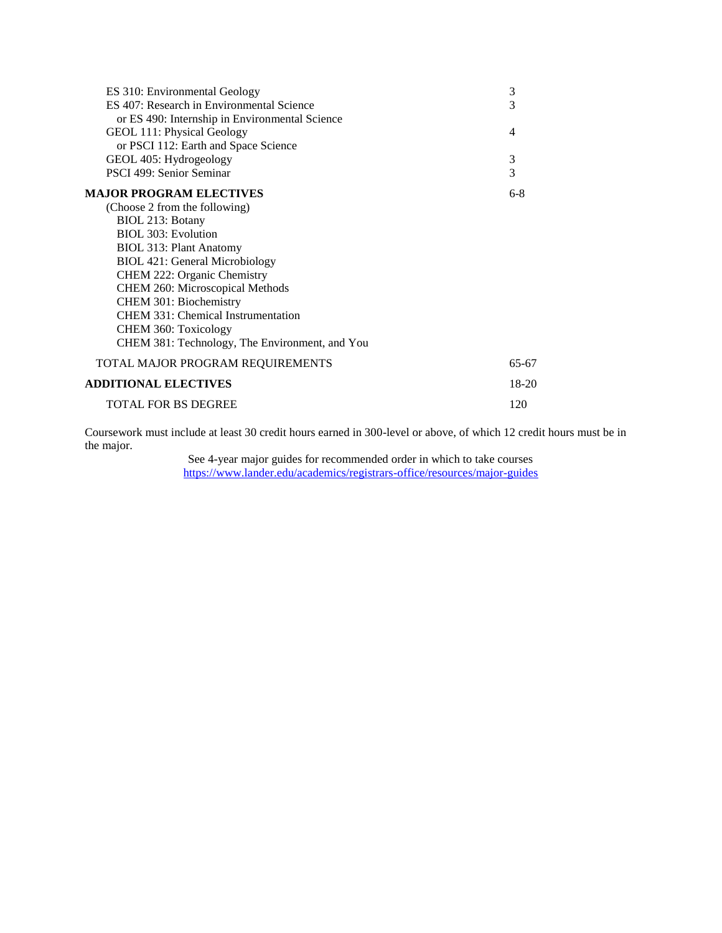| ES 310: Environmental Geology                  | 3              |
|------------------------------------------------|----------------|
| ES 407: Research in Environmental Science      | 3              |
| or ES 490: Internship in Environmental Science |                |
| GEOL 111: Physical Geology                     | $\overline{4}$ |
| or PSCI 112: Earth and Space Science           |                |
| GEOL 405: Hydrogeology                         | 3              |
| PSCI 499: Senior Seminar                       | 3              |
| <b>MAJOR PROGRAM ELECTIVES</b>                 | $6-8$          |
| (Choose 2 from the following)                  |                |
| BIOL 213: Botany                               |                |
| <b>BIOL 303: Evolution</b>                     |                |
| <b>BIOL 313: Plant Anatomy</b>                 |                |
| <b>BIOL 421: General Microbiology</b>          |                |
| CHEM 222: Organic Chemistry                    |                |
| CHEM 260: Microscopical Methods                |                |
| CHEM 301: Biochemistry                         |                |
| CHEM 331: Chemical Instrumentation             |                |
| CHEM 360: Toxicology                           |                |
| CHEM 381: Technology, The Environment, and You |                |
| TOTAL MAJOR PROGRAM REQUIREMENTS               | 65-67          |
| <b>ADDITIONAL ELECTIVES</b>                    | 18-20          |
| <b>TOTAL FOR BS DEGREE</b>                     | 120            |

Coursework must include at least 30 credit hours earned in 300-level or above, of which 12 credit hours must be in the major.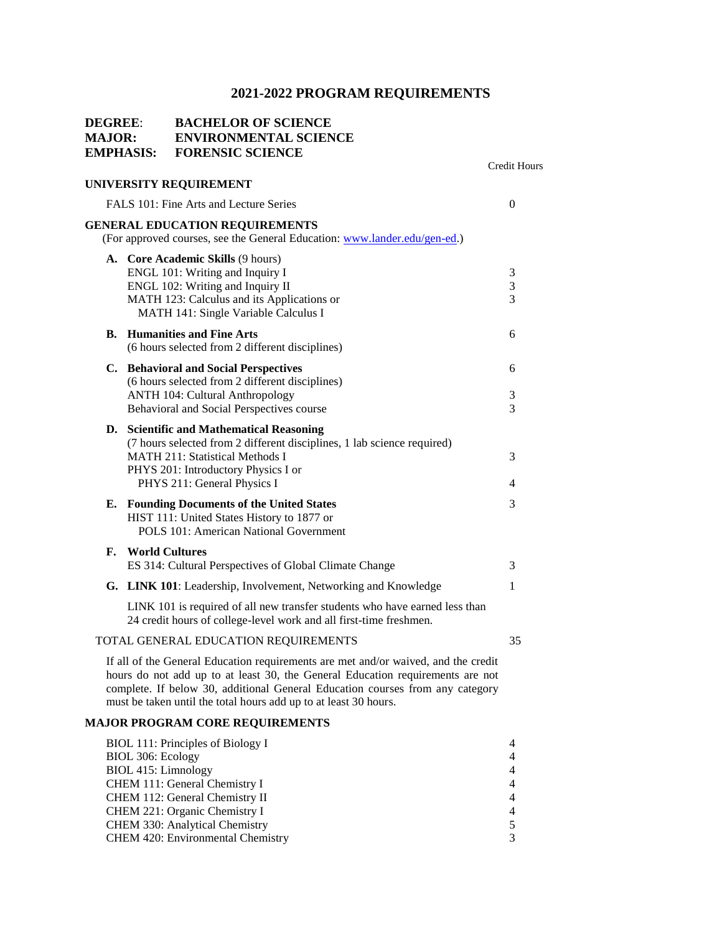#### **DEGREE**: **BACHELOR OF SCIENCE MAJOR: ENVIRONMENTAL SCIENCE EMPHASIS: FORENSIC SCIENCE**

# **UNIVERSITY REQUIREMENT**

Credit Hours

|    | UNIVERSITY REQUIREMENT                                                                                                                                                                                                              |                                   |
|----|-------------------------------------------------------------------------------------------------------------------------------------------------------------------------------------------------------------------------------------|-----------------------------------|
|    | FALS 101: Fine Arts and Lecture Series                                                                                                                                                                                              | $\Omega$                          |
|    | <b>GENERAL EDUCATION REQUIREMENTS</b><br>(For approved courses, see the General Education: www.lander.edu/gen-ed.)                                                                                                                  |                                   |
|    | A. Core Academic Skills (9 hours)<br>ENGL 101: Writing and Inquiry I<br>ENGL 102: Writing and Inquiry II<br>MATH 123: Calculus and its Applications or<br>MATH 141: Single Variable Calculus I                                      | 3<br>$\frac{3}{3}$                |
|    | <b>B.</b> Humanities and Fine Arts<br>(6 hours selected from 2 different disciplines)                                                                                                                                               | 6                                 |
|    | C. Behavioral and Social Perspectives<br>(6 hours selected from 2 different disciplines)<br><b>ANTH 104: Cultural Anthropology</b><br>Behavioral and Social Perspectives course                                                     | 6<br>$\sqrt{3}$<br>$\overline{3}$ |
|    | D. Scientific and Mathematical Reasoning<br>(7 hours selected from 2 different disciplines, 1 lab science required)<br><b>MATH 211: Statistical Methods I</b><br>PHYS 201: Introductory Physics I or<br>PHYS 211: General Physics I | 3<br>$\overline{4}$               |
| Е. | <b>Founding Documents of the United States</b><br>HIST 111: United States History to 1877 or<br>POLS 101: American National Government                                                                                              | 3                                 |
| F. | <b>World Cultures</b><br>ES 314: Cultural Perspectives of Global Climate Change                                                                                                                                                     | 3                                 |
|    | <b>G. LINK 101:</b> Leadership, Involvement, Networking and Knowledge                                                                                                                                                               | 1                                 |
|    | LINK 101 is required of all new transfer students who have earned less than<br>24 credit hours of college-level work and all first-time freshmen.                                                                                   |                                   |
|    |                                                                                                                                                                                                                                     |                                   |

### TOTAL GENERAL EDUCATION REQUIREMENTS 35

If all of the General Education requirements are met and/or waived, and the credit hours do not add up to at least 30, the General Education requirements are not complete. If below 30, additional General Education courses from any category must be taken until the total hours add up to at least 30 hours.

### **MAJOR PROGRAM CORE REQUIREMENTS**

| BIOL 111: Principles of Biology I |   |
|-----------------------------------|---|
| BIOL 306: Ecology                 | 4 |
| BIOL 415: Limnology               | 4 |
| CHEM 111: General Chemistry I     | 4 |
| CHEM 112: General Chemistry II    | 4 |
| CHEM 221: Organic Chemistry I     | 4 |
| CHEM 330: Analytical Chemistry    |   |
| CHEM 420: Environmental Chemistry |   |